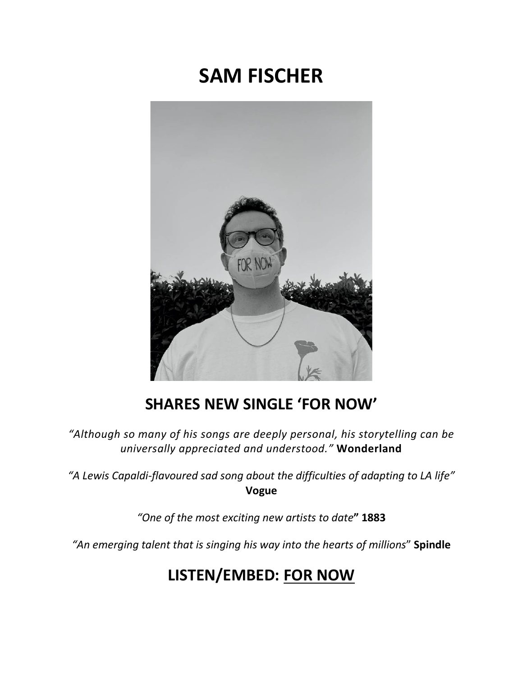## **SAM FISCHER**



## **SHARES NEW SINGLE 'FOR NOW'**

*"Although so many of his songs are deeply personal, his storytelling can be universally appreciated and understood."* **Wonderland**

*"A Lewis Capaldi-flavoured sad song about the difficulties of adapting to LA life"* **Vogue**

*"One of the most exciting new artists to date***" 1883**

*"An emerging talent that is singing his way into the hearts of millions*" **Spindle**

## **LISTEN/EMBED: [FOR NOW](https://eur01.safelinks.protection.outlook.com/?url=http%3A%2F%2Fsmfschr.com%2FForNow&data=04%7C01%7Ckirsten.mikkelson%40rcarecords.com%7Cd3a6628598db4a6b494708d895369370%7Cf0aff3b791a54aaeaf71c63e1dda2049%7C0%7C0%7C637423408950478001%7CUnknown%7CTWFpbGZsb3d8eyJWIjoiMC4wLjAwMDAiLCJQIjoiV2luMzIiLCJBTiI6Ik1haWwiLCJXVCI6Mn0%3D%7C1000&sdata=I4HehNdfUEwfCLqE07EZgGmXkQNFZyO0qW3L20CghWU%3D&reserved=0)**